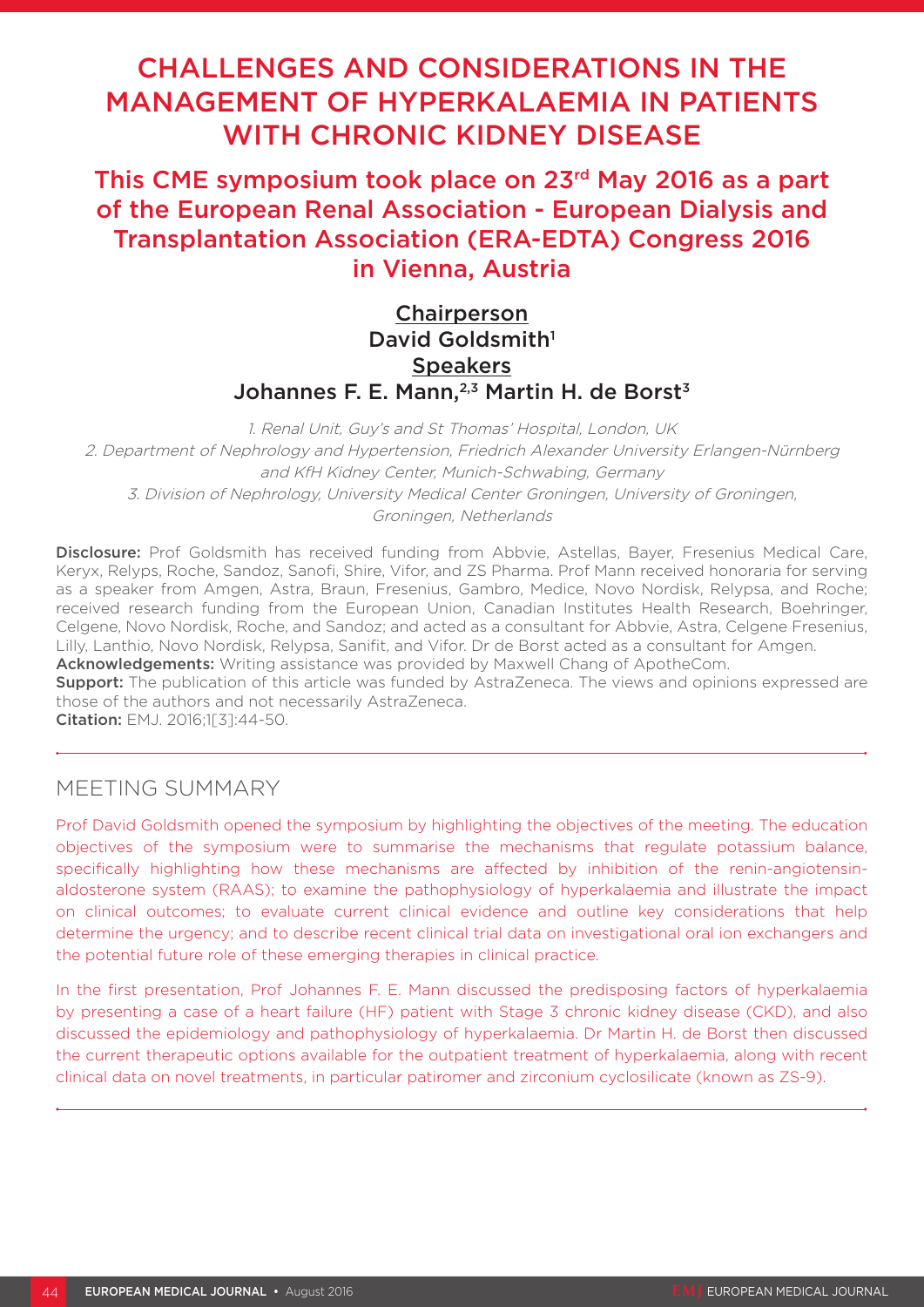# CHALLENGES AND CONSIDERATIONS IN THE MANAGEMENT OF HYPERKALAEMIA IN PATIENTS WITH CHRONIC KIDNEY DISEASE

This CME symposium took place on 23rd May 2016 as a part of the European Renal Association - European Dialysis and Transplantation Association (ERA-EDTA) Congress 2016 in Vienna, Austria

# Chairperson David Goldsmith<sup>1</sup> **Speakers** Johannes F. E. Mann,<sup>2,3</sup> Martin H. de Borst<sup>3</sup>

1. Renal Unit, Guy's and St Thomas' Hospital, London, UK 2. Department of Nephrology and Hypertension, Friedrich Alexander University Erlangen-Nürnberg and KfH Kidney Center, Munich-Schwabing, Germany 3. Division of Nephrology, University Medical Center Groningen, University of Groningen, Groningen, Netherlands

Disclosure: Prof Goldsmith has received funding from Abbvie, Astellas, Bayer, Fresenius Medical Care, Keryx, Relyps, Roche, Sandoz, Sanofi, Shire, Vifor, and ZS Pharma. Prof Mann received honoraria for serving as a speaker from Amgen, Astra, Braun, Fresenius, Gambro, Medice, Novo Nordisk, Relypsa, and Roche; received research funding from the European Union, Canadian Institutes Health Research, Boehringer, Celgene, Novo Nordisk, Roche, and Sandoz; and acted as a consultant for Abbvie, Astra, Celgene Fresenius, Lilly, Lanthio, Novo Nordisk, Relypsa, Sanifit, and Vifor. Dr de Borst acted as a consultant for Amgen.

Acknowledgements: Writing assistance was provided by Maxwell Chang of ApotheCom.

**Support:** The publication of this article was funded by AstraZeneca. The views and opinions expressed are those of the authors and not necessarily AstraZeneca.

Citation: EMJ. 2016;1[3]:44-50.

### MEETING SUMMARY

Prof David Goldsmith opened the symposium by highlighting the objectives of the meeting. The education objectives of the symposium were to summarise the mechanisms that regulate potassium balance, specifically highlighting how these mechanisms are affected by inhibition of the renin-angiotensinaldosterone system (RAAS); to examine the pathophysiology of hyperkalaemia and illustrate the impact on clinical outcomes; to evaluate current clinical evidence and outline key considerations that help determine the urgency; and to describe recent clinical trial data on investigational oral ion exchangers and the potential future role of these emerging therapies in clinical practice.

In the first presentation, Prof Johannes F. E. Mann discussed the predisposing factors of hyperkalaemia by presenting a case of a heart failure (HF) patient with Stage 3 chronic kidney disease (CKD), and also discussed the epidemiology and pathophysiology of hyperkalaemia. Dr Martin H. de Borst then discussed the current therapeutic options available for the outpatient treatment of hyperkalaemia, along with recent clinical data on novel treatments, in particular patiromer and zirconium cyclosilicate (known as ZS-9).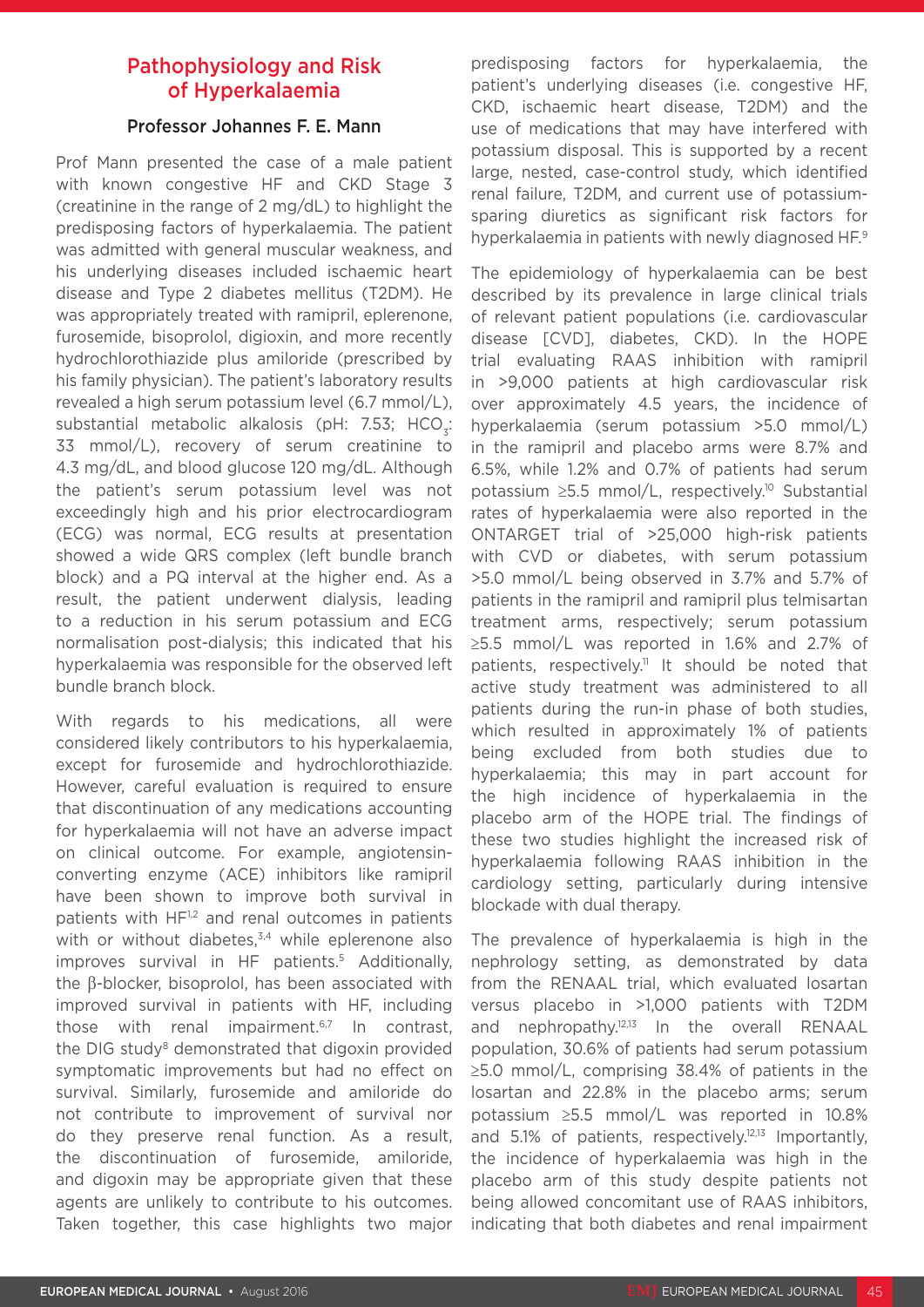# Pathophysiology and Risk of Hyperkalaemia

#### Professor Johannes F. E. Mann

Prof Mann presented the case of a male patient with known congestive HF and CKD Stage 3 (creatinine in the range of 2 mg/dL) to highlight the predisposing factors of hyperkalaemia. The patient was admitted with general muscular weakness, and his underlying diseases included ischaemic heart disease and Type 2 diabetes mellitus (T2DM). He was appropriately treated with ramipril, eplerenone, furosemide, bisoprolol, digioxin, and more recently hydrochlorothiazide plus amiloride (prescribed by his family physician). The patient's laboratory results revealed a high serum potassium level (6.7 mmol/L), substantial metabolic alkalosis (pH: 7.53; HCO<sub>2</sub>: 33 mmol/L), recovery of serum creatinine to 4.3 mg/dL, and blood glucose 120 mg/dL. Although the patient's serum potassium level was not exceedingly high and his prior electrocardiogram (ECG) was normal, ECG results at presentation showed a wide QRS complex (left bundle branch block) and a PQ interval at the higher end. As a result, the patient underwent dialysis, leading to a reduction in his serum potassium and ECG normalisation post-dialysis; this indicated that his hyperkalaemia was responsible for the observed left bundle branch block.

With regards to his medications, all were considered likely contributors to his hyperkalaemia, except for furosemide and hydrochlorothiazide. However, careful evaluation is required to ensure that discontinuation of any medications accounting for hyperkalaemia will not have an adverse impact on clinical outcome. For example, angiotensinconverting enzyme (ACE) inhibitors like ramipril have been shown to improve both survival in patients with HF<sup>1,2</sup> and renal outcomes in patients with or without diabetes, $3,4$  while eplerenone also improves survival in HF patients.<sup>5</sup> Additionally, the β-blocker, bisoprolol, has been associated with improved survival in patients with HF, including those with renal impairment. $6,7$  In contrast, the DIG study<sup>8</sup> demonstrated that digoxin provided symptomatic improvements but had no effect on survival. Similarly, furosemide and amiloride do not contribute to improvement of survival nor do they preserve renal function. As a result, the discontinuation of furosemide, amiloride, and digoxin may be appropriate given that these agents are unlikely to contribute to his outcomes. Taken together, this case highlights two major

predisposing factors for hyperkalaemia, the patient's underlying diseases (i.e. congestive HF, CKD, ischaemic heart disease, T2DM) and the use of medications that may have interfered with potassium disposal. This is supported by a recent large, nested, case-control study, which identified renal failure, T2DM, and current use of potassiumsparing diuretics as significant risk factors for hyperkalaemia in patients with newly diagnosed HF.<sup>9</sup>

The epidemiology of hyperkalaemia can be best described by its prevalence in large clinical trials of relevant patient populations (i.e. cardiovascular disease [CVD], diabetes, CKD). In the HOPE trial evaluating RAAS inhibition with ramipril in >9,000 patients at high cardiovascular risk over approximately 4.5 years, the incidence of hyperkalaemia (serum potassium >5.0 mmol/L) in the ramipril and placebo arms were 8.7% and 6.5%, while 1.2% and 0.7% of patients had serum potassium ≥5.5 mmol/L, respectively.10 Substantial rates of hyperkalaemia were also reported in the ONTARGET trial of >25,000 high-risk patients with CVD or diabetes, with serum potassium >5.0 mmol/L being observed in 3.7% and 5.7% of patients in the ramipril and ramipril plus telmisartan treatment arms, respectively; serum potassium ≥5.5 mmol/L was reported in 1.6% and 2.7% of patients, respectively.<sup>11</sup> It should be noted that active study treatment was administered to all patients during the run-in phase of both studies, which resulted in approximately 1% of patients being excluded from both studies due to hyperkalaemia; this may in part account for the high incidence of hyperkalaemia in the placebo arm of the HOPE trial. The findings of these two studies highlight the increased risk of hyperkalaemia following RAAS inhibition in the cardiology setting, particularly during intensive blockade with dual therapy.

The prevalence of hyperkalaemia is high in the nephrology setting, as demonstrated by data from the RENAAL trial, which evaluated losartan versus placebo in >1,000 patients with T2DM and nephropathy.12,13 In the overall RENAAL population, 30.6% of patients had serum potassium ≥5.0 mmol/L, comprising 38.4% of patients in the losartan and 22.8% in the placebo arms; serum potassium ≥5.5 mmol/L was reported in 10.8% and 5.1% of patients, respectively.<sup>12,13</sup> Importantly, the incidence of hyperkalaemia was high in the placebo arm of this study despite patients not being allowed concomitant use of RAAS inhibitors, indicating that both diabetes and renal impairment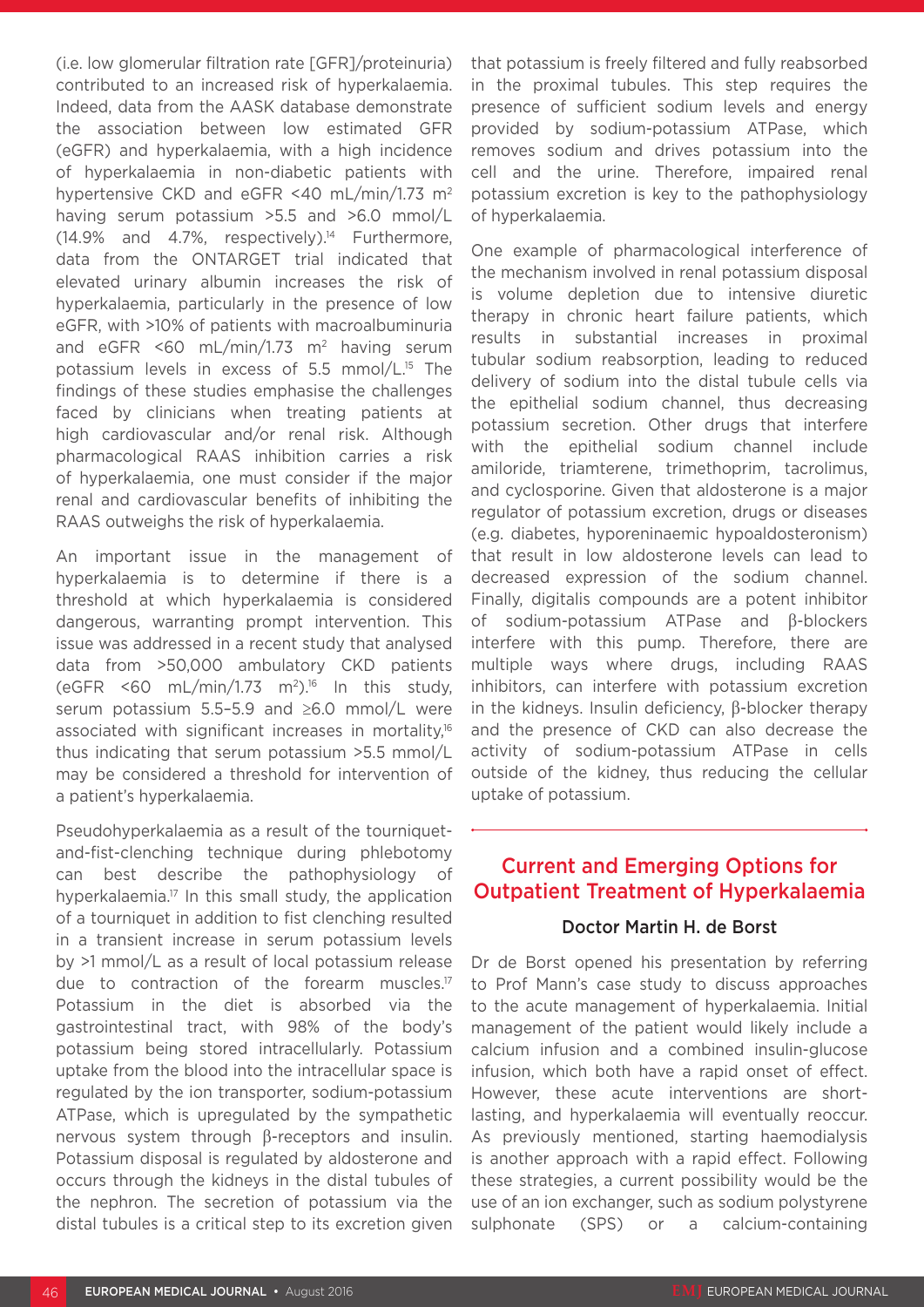(i.e. low glomerular filtration rate [GFR]/proteinuria) contributed to an increased risk of hyperkalaemia. Indeed, data from the AASK database demonstrate the association between low estimated GFR (eGFR) and hyperkalaemia, with a high incidence of hyperkalaemia in non-diabetic patients with hypertensive CKD and eGFR <40 mL/min/1.73 m2 having serum potassium >5.5 and >6.0 mmol/L  $(14.9\%$  and  $4.7\%$ , respectively).<sup>14</sup> Furthermore, data from the ONTARGET trial indicated that elevated urinary albumin increases the risk of hyperkalaemia, particularly in the presence of low eGFR, with >10% of patients with macroalbuminuria and eGFR <60 mL/min/1.73  $m^2$  having serum potassium levels in excess of 5.5 mmol/L.15 The findings of these studies emphasise the challenges faced by clinicians when treating patients at high cardiovascular and/or renal risk. Although pharmacological RAAS inhibition carries a risk of hyperkalaemia, one must consider if the major renal and cardiovascular benefits of inhibiting the RAAS outweighs the risk of hyperkalaemia.

An important issue in the management of hyperkalaemia is to determine if there is a threshold at which hyperkalaemia is considered dangerous, warranting prompt intervention. This issue was addressed in a recent study that analysed data from >50,000 ambulatory CKD patients (eGFR <60 mL/min/1.73 m<sup>2</sup>).<sup>16</sup> In this study, serum potassium 5.5–5.9 and ≥6.0 mmol/L were associated with significant increases in mortality,16 thus indicating that serum potassium >5.5 mmol/L may be considered a threshold for intervention of a patient's hyperkalaemia.

Pseudohyperkalaemia as a result of the tourniquetand-fist-clenching technique during phlebotomy can best describe the pathophysiology of hyperkalaemia.17 In this small study, the application of a tourniquet in addition to fist clenching resulted in a transient increase in serum potassium levels by >1 mmol/L as a result of local potassium release due to contraction of the forearm muscles.<sup>17</sup> Potassium in the diet is absorbed via the gastrointestinal tract, with 98% of the body's potassium being stored intracellularly. Potassium uptake from the blood into the intracellular space is regulated by the ion transporter, sodium-potassium ATPase, which is upregulated by the sympathetic nervous system through β-receptors and insulin. Potassium disposal is regulated by aldosterone and occurs through the kidneys in the distal tubules of the nephron. The secretion of potassium via the distal tubules is a critical step to its excretion given

that potassium is freely filtered and fully reabsorbed in the proximal tubules. This step requires the presence of sufficient sodium levels and energy provided by sodium-potassium ATPase, which removes sodium and drives potassium into the cell and the urine. Therefore, impaired renal potassium excretion is key to the pathophysiology of hyperkalaemia.

One example of pharmacological interference of the mechanism involved in renal potassium disposal is volume depletion due to intensive diuretic therapy in chronic heart failure patients, which results in substantial increases in proximal tubular sodium reabsorption, leading to reduced delivery of sodium into the distal tubule cells via the epithelial sodium channel, thus decreasing potassium secretion. Other drugs that interfere with the epithelial sodium channel include amiloride, triamterene, trimethoprim, tacrolimus, and cyclosporine. Given that aldosterone is a major regulator of potassium excretion, drugs or diseases (e.g. diabetes, hyporeninaemic hypoaldosteronism) that result in low aldosterone levels can lead to decreased expression of the sodium channel. Finally, digitalis compounds are a potent inhibitor of sodium-potassium ATPase and β-blockers interfere with this pump. Therefore, there are multiple ways where drugs, including RAAS inhibitors, can interfere with potassium excretion in the kidneys. Insulin deficiency, β-blocker therapy and the presence of CKD can also decrease the activity of sodium-potassium ATPase in cells outside of the kidney, thus reducing the cellular uptake of potassium.

# Current and Emerging Options for Outpatient Treatment of Hyperkalaemia

#### Doctor Martin H. de Borst

Dr de Borst opened his presentation by referring to Prof Mann's case study to discuss approaches to the acute management of hyperkalaemia. Initial management of the patient would likely include a calcium infusion and a combined insulin-glucose infusion, which both have a rapid onset of effect. However, these acute interventions are shortlasting, and hyperkalaemia will eventually reoccur. As previously mentioned, starting haemodialysis is another approach with a rapid effect. Following these strategies, a current possibility would be the use of an ion exchanger, such as sodium polystyrene sulphonate (SPS) or a calcium-containing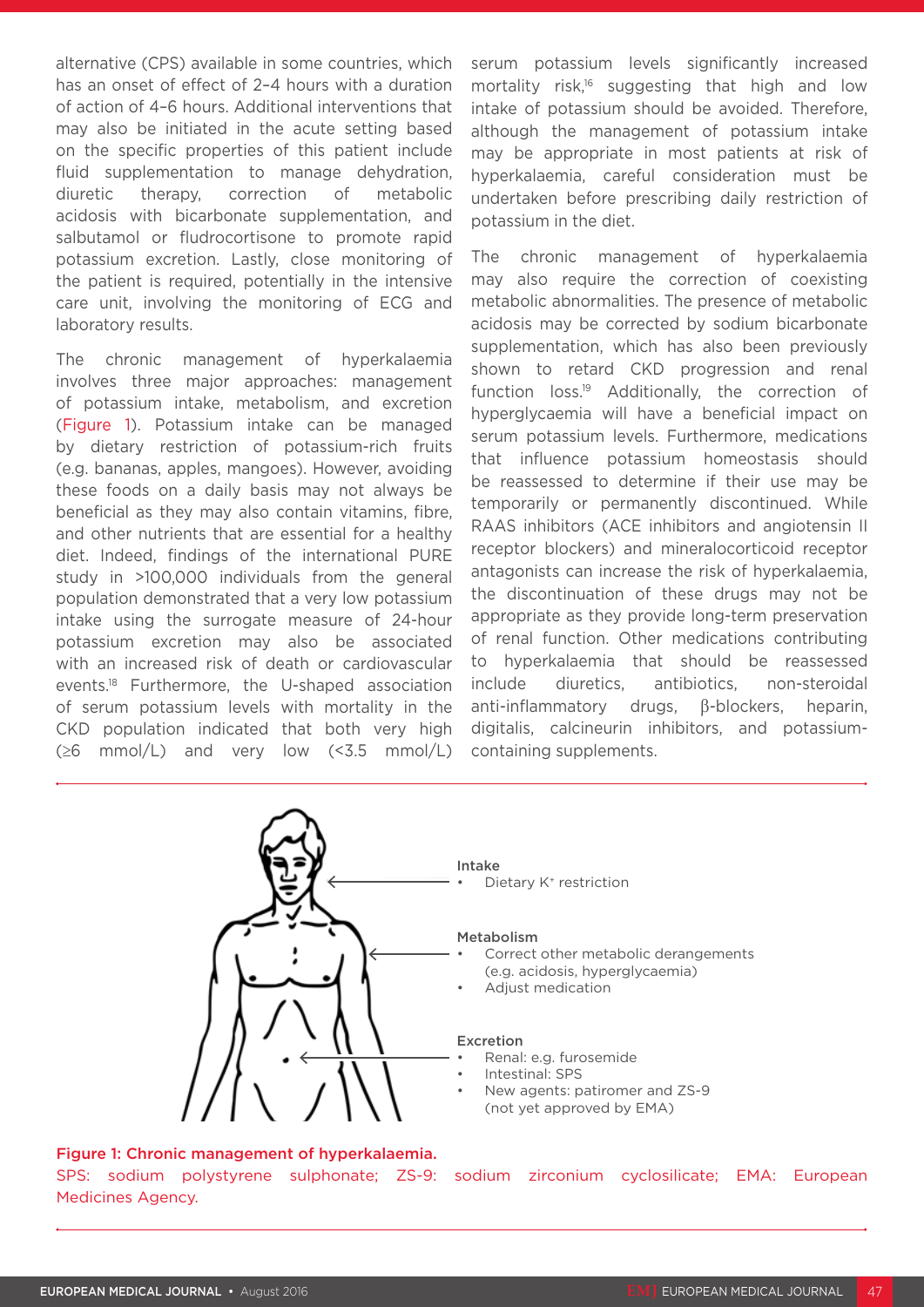alternative (CPS) available in some countries, which has an onset of effect of 2–4 hours with a duration of action of 4–6 hours. Additional interventions that may also be initiated in the acute setting based on the specific properties of this patient include fluid supplementation to manage dehydration, diuretic therapy, correction of metabolic acidosis with bicarbonate supplementation, and salbutamol or fludrocortisone to promote rapid potassium excretion. Lastly, close monitoring of the patient is required, potentially in the intensive care unit, involving the monitoring of ECG and laboratory results.

The chronic management of hyperkalaemia involves three major approaches: management of potassium intake, metabolism, and excretion (Figure 1). Potassium intake can be managed by dietary restriction of potassium-rich fruits (e.g. bananas, apples, mangoes). However, avoiding these foods on a daily basis may not always be beneficial as they may also contain vitamins, fibre, and other nutrients that are essential for a healthy diet. Indeed, findings of the international PURE study in >100,000 individuals from the general population demonstrated that a very low potassium intake using the surrogate measure of 24-hour potassium excretion may also be associated with an increased risk of death or cardiovascular events.18 Furthermore, the U-shaped association of serum potassium levels with mortality in the CKD population indicated that both very high  $(\geq 6 \text{mmol/L})$  and very low  $(\leq 3.5 \text{mmol/L})$  serum potassium levels significantly increased mortality risk,<sup>16</sup> suggesting that high and low intake of potassium should be avoided. Therefore, although the management of potassium intake may be appropriate in most patients at risk of hyperkalaemia, careful consideration must be undertaken before prescribing daily restriction of potassium in the diet.

The chronic management of hyperkalaemia may also require the correction of coexisting metabolic abnormalities. The presence of metabolic acidosis may be corrected by sodium bicarbonate supplementation, which has also been previously shown to retard CKD progression and renal function loss.19 Additionally, the correction of hyperglycaemia will have a beneficial impact on serum potassium levels. Furthermore, medications that influence potassium homeostasis should be reassessed to determine if their use may be temporarily or permanently discontinued. While RAAS inhibitors (ACE inhibitors and angiotensin II receptor blockers) and mineralocorticoid receptor antagonists can increase the risk of hyperkalaemia, the discontinuation of these drugs may not be appropriate as they provide long-term preservation of renal function. Other medications contributing to hyperkalaemia that should be reassessed include diuretics, antibiotics, non-steroidal anti-inflammatory drugs, β-blockers, heparin, digitalis, calcineurin inhibitors, and potassiumcontaining supplements.

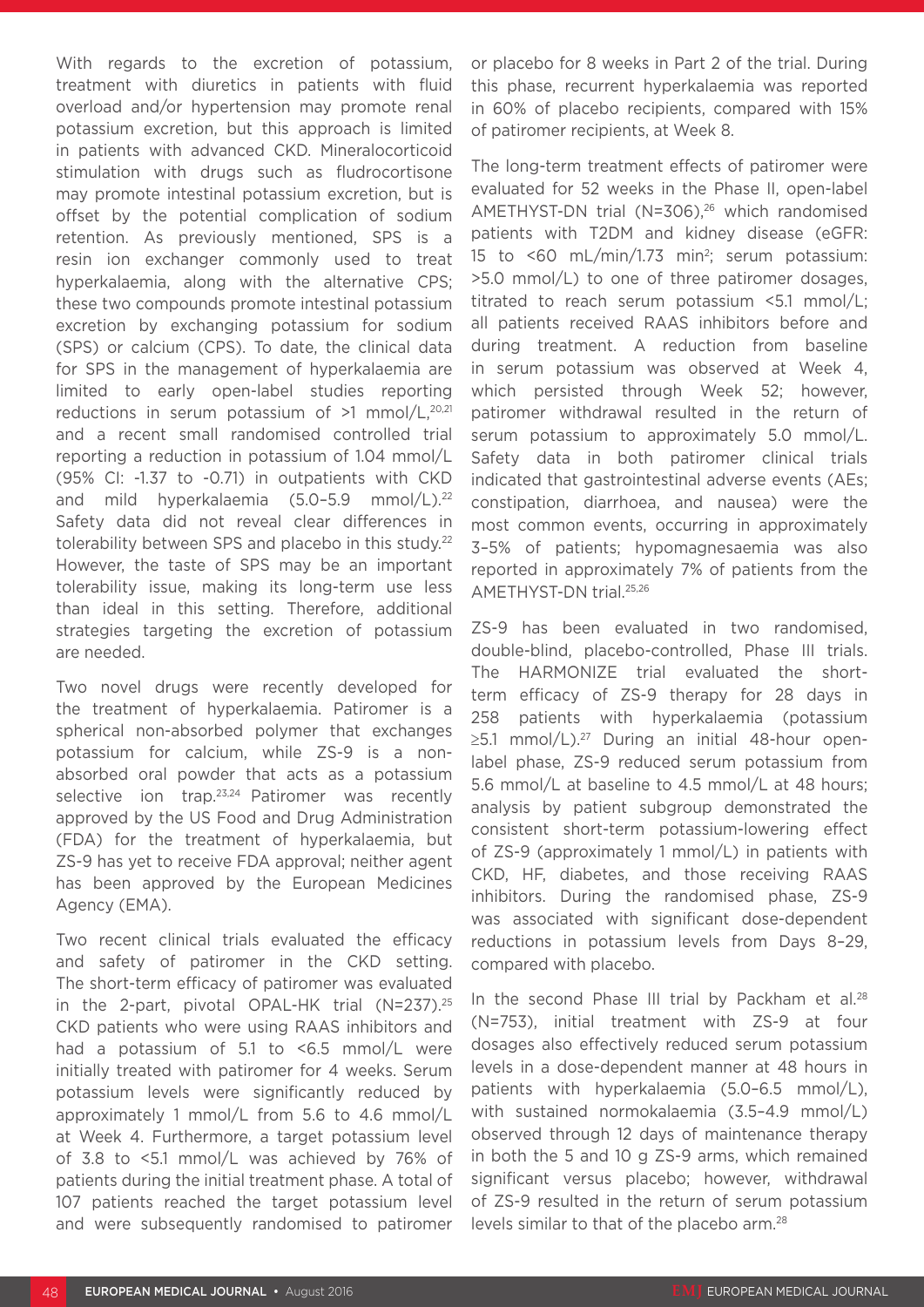With regards to the excretion of potassium, treatment with diuretics in patients with fluid overload and/or hypertension may promote renal potassium excretion, but this approach is limited in patients with advanced CKD. Mineralocorticoid stimulation with drugs such as fludrocortisone may promote intestinal potassium excretion, but is offset by the potential complication of sodium retention. As previously mentioned, SPS is a resin ion exchanger commonly used to treat hyperkalaemia, along with the alternative CPS; these two compounds promote intestinal potassium excretion by exchanging potassium for sodium (SPS) or calcium (CPS). To date, the clinical data for SPS in the management of hyperkalaemia are limited to early open-label studies reporting reductions in serum potassium of >1 mmol/L,<sup>20,21</sup> and a recent small randomised controlled trial reporting a reduction in potassium of 1.04 mmol/L (95% CI: -1.37 to -0.71) in outpatients with CKD and mild hyperkalaemia (5.0-5.9 mmol/L).<sup>22</sup> Safety data did not reveal clear differences in tolerability between SPS and placebo in this study.22 However, the taste of SPS may be an important tolerability issue, making its long-term use less than ideal in this setting. Therefore, additional strategies targeting the excretion of potassium are needed.

Two novel drugs were recently developed for the treatment of hyperkalaemia. Patiromer is a spherical non-absorbed polymer that exchanges potassium for calcium, while ZS-9 is a nonabsorbed oral powder that acts as a potassium selective ion trap.<sup>23,24</sup> Patiromer was recently approved by the US Food and Drug Administration (FDA) for the treatment of hyperkalaemia, but ZS-9 has yet to receive FDA approval; neither agent has been approved by the European Medicines Agency (EMA).

Two recent clinical trials evaluated the efficacy and safety of patiromer in the CKD setting. The short-term efficacy of patiromer was evaluated in the 2-part, pivotal OPAL-HK trial (N=237).25 CKD patients who were using RAAS inhibitors and had a potassium of 5.1 to <6.5 mmol/L were initially treated with patiromer for 4 weeks. Serum potassium levels were significantly reduced by approximately 1 mmol/L from 5.6 to 4.6 mmol/L at Week 4. Furthermore, a target potassium level of 3.8 to <5.1 mmol/L was achieved by 76% of patients during the initial treatment phase. A total of 107 patients reached the target potassium level and were subsequently randomised to patiromer or placebo for 8 weeks in Part 2 of the trial. During this phase, recurrent hyperkalaemia was reported in 60% of placebo recipients, compared with 15% of patiromer recipients, at Week 8.

The long-term treatment effects of patiromer were evaluated for 52 weeks in the Phase II, open-label AMETHYST-DN trial (N=306), $26$  which randomised patients with T2DM and kidney disease (eGFR: 15 to <60 mL/min/1.73 min2; serum potassium: >5.0 mmol/L) to one of three patiromer dosages, titrated to reach serum potassium <5.1 mmol/L; all patients received RAAS inhibitors before and during treatment. A reduction from baseline in serum potassium was observed at Week 4, which persisted through Week 52; however, patiromer withdrawal resulted in the return of serum potassium to approximately 5.0 mmol/L. Safety data in both patiromer clinical trials indicated that gastrointestinal adverse events (AEs; constipation, diarrhoea, and nausea) were the most common events, occurring in approximately 3–5% of patients; hypomagnesaemia was also reported in approximately 7% of patients from the AMETHYST-DN trial.25,26

ZS-9 has been evaluated in two randomised, double-blind, placebo-controlled, Phase III trials. The HARMONIZE trial evaluated the shortterm efficacy of ZS-9 therapy for 28 days in 258 patients with hyperkalaemia (potassium ≥5.1 mmol/L).<sup>27</sup> During an initial 48-hour openlabel phase, ZS-9 reduced serum potassium from 5.6 mmol/L at baseline to 4.5 mmol/L at 48 hours; analysis by patient subgroup demonstrated the consistent short-term potassium-lowering effect of ZS-9 (approximately 1 mmol/L) in patients with CKD, HF, diabetes, and those receiving RAAS inhibitors. During the randomised phase, ZS-9 was associated with significant dose-dependent reductions in potassium levels from Days 8–29, compared with placebo.

In the second Phase III trial by Packham et al. $28$ (N=753), initial treatment with ZS-9 at four dosages also effectively reduced serum potassium levels in a dose-dependent manner at 48 hours in patients with hyperkalaemia (5.0–6.5 mmol/L), with sustained normokalaemia (3.5–4.9 mmol/L) observed through 12 days of maintenance therapy in both the 5 and 10 g ZS-9 arms, which remained significant versus placebo; however, withdrawal of ZS-9 resulted in the return of serum potassium levels similar to that of the placebo arm.28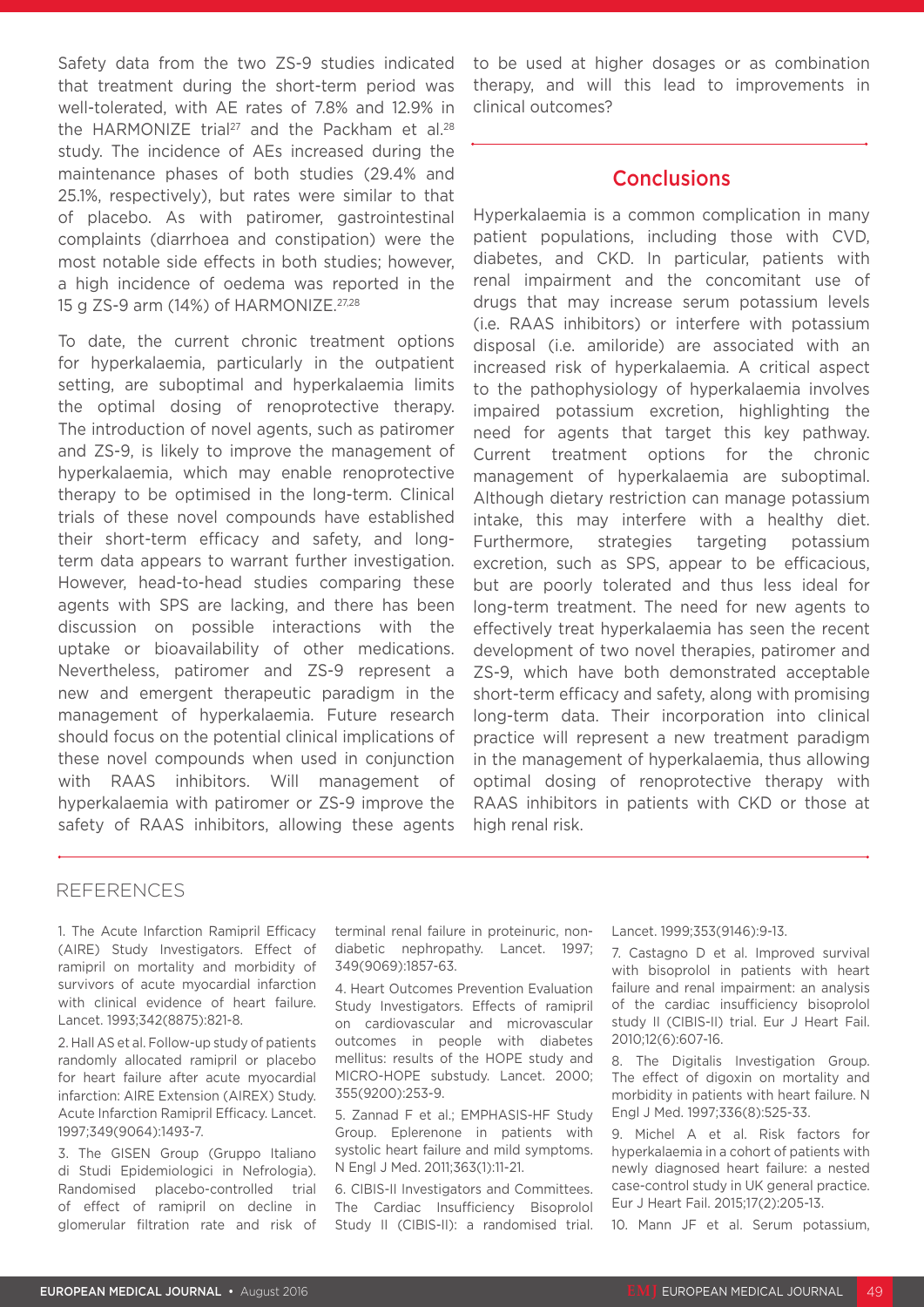Safety data from the two ZS-9 studies indicated that treatment during the short-term period was well-tolerated, with AE rates of 7.8% and 12.9% in the HARMONIZE trial<sup>27</sup> and the Packham et al.<sup>28</sup> study. The incidence of AEs increased during the maintenance phases of both studies (29.4% and 25.1%, respectively), but rates were similar to that of placebo. As with patiromer, gastrointestinal complaints (diarrhoea and constipation) were the most notable side effects in both studies; however, a high incidence of oedema was reported in the 15 g ZS-9 arm (14%) of HARMONIZE.27,28

To date, the current chronic treatment options for hyperkalaemia, particularly in the outpatient setting, are suboptimal and hyperkalaemia limits the optimal dosing of renoprotective therapy. The introduction of novel agents, such as patiromer and ZS-9, is likely to improve the management of hyperkalaemia, which may enable renoprotective therapy to be optimised in the long-term. Clinical trials of these novel compounds have established their short-term efficacy and safety, and longterm data appears to warrant further investigation. However, head-to-head studies comparing these agents with SPS are lacking, and there has been discussion on possible interactions with the uptake or bioavailability of other medications. Nevertheless, patiromer and ZS-9 represent a new and emergent therapeutic paradigm in the management of hyperkalaemia. Future research should focus on the potential clinical implications of these novel compounds when used in conjunction with RAAS inhibitors. Will management of hyperkalaemia with patiromer or ZS-9 improve the safety of RAAS inhibitors, allowing these agents

to be used at higher dosages or as combination therapy, and will this lead to improvements in clinical outcomes?

#### **Conclusions**

Hyperkalaemia is a common complication in many patient populations, including those with CVD, diabetes, and CKD. In particular, patients with renal impairment and the concomitant use of drugs that may increase serum potassium levels (i.e. RAAS inhibitors) or interfere with potassium disposal (i.e. amiloride) are associated with an increased risk of hyperkalaemia. A critical aspect to the pathophysiology of hyperkalaemia involves impaired potassium excretion, highlighting the need for agents that target this key pathway. Current treatment options for the chronic management of hyperkalaemia are suboptimal. Although dietary restriction can manage potassium intake, this may interfere with a healthy diet. Furthermore, strategies targeting potassium excretion, such as SPS, appear to be efficacious, but are poorly tolerated and thus less ideal for long-term treatment. The need for new agents to effectively treat hyperkalaemia has seen the recent development of two novel therapies, patiromer and ZS-9, which have both demonstrated acceptable short-term efficacy and safety, along with promising long-term data. Their incorporation into clinical practice will represent a new treatment paradigm in the management of hyperkalaemia, thus allowing optimal dosing of renoprotective therapy with RAAS inhibitors in patients with CKD or those at high renal risk.

#### REFERENCES

1. The Acute Infarction Ramipril Efficacy (AIRE) Study Investigators. Effect of ramipril on mortality and morbidity of survivors of acute myocardial infarction with clinical evidence of heart failure. Lancet. 1993;342(8875):821-8.

2. Hall AS et al. Follow-up study of patients randomly allocated ramipril or placebo for heart failure after acute myocardial infarction: AIRE Extension (AIREX) Study. Acute Infarction Ramipril Efficacy. Lancet. 1997;349(9064):1493-7.

3. The GISEN Group (Gruppo Italiano di Studi Epidemiologici in Nefrologia). Randomised placebo-controlled trial of effect of ramipril on decline in glomerular filtration rate and risk of

terminal renal failure in proteinuric, nondiabetic nephropathy. Lancet. 1997; 349(9069):1857-63.

4. Heart Outcomes Prevention Evaluation Study Investigators. Effects of ramipril on cardiovascular and microvascular outcomes in people with diabetes mellitus: results of the HOPE study and MICRO-HOPE substudy. Lancet. 2000; 355(9200):253-9.

5. Zannad F et al.; EMPHASIS-HF Study Group. Eplerenone in patients with systolic heart failure and mild symptoms. N Engl J Med. 2011;363(1):11-21.

6. CIBIS-II Investigators and Committees. The Cardiac Insufficiency Bisoprolol Study II (CIBIS-II): a randomised trial. Lancet. 1999;353(9146):9-13.

7. Castagno D et al. Improved survival with bisoprolol in patients with heart failure and renal impairment: an analysis of the cardiac insufficiency bisoprolol study II (CIBIS-II) trial. Eur J Heart Fail. 2010;12(6):607-16.

8. The Digitalis Investigation Group. The effect of digoxin on mortality and morbidity in patients with heart failure. N Engl J Med. 1997;336(8):525-33.

9. Michel A et al. Risk factors for hyperkalaemia in a cohort of patients with newly diagnosed heart failure: a nested case-control study in UK general practice. Eur J Heart Fail. 2015;17(2):205-13.

10. Mann JF et al. Serum potassium,